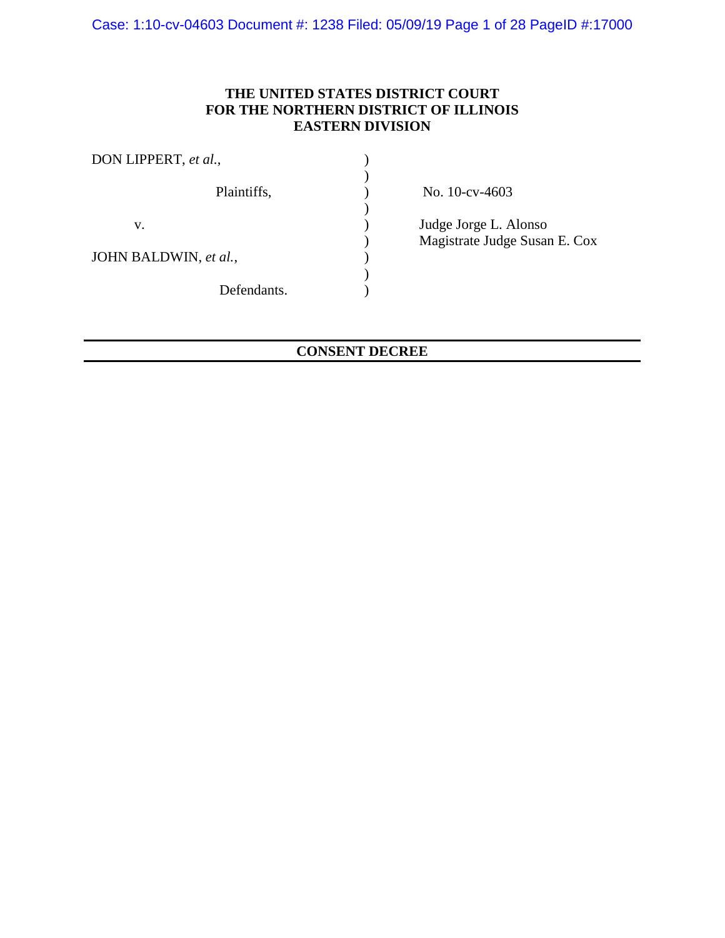Case: 1:10-cv-04603 Document #: 1238 Filed: 05/09/19 Page 1 of 28 PageID #:17000

# **THE UNITED STATES DISTRICT COURT FOR THE NORTHERN DISTRICT OF ILLINOIS EASTERN DIVISION**

| DON LIPPERT, et al.,  |                               |
|-----------------------|-------------------------------|
| Plaintiffs,           | No. 10-cv-4603                |
| V.                    | Judge Jorge L. Alonso         |
|                       | Magistrate Judge Susan E. Cox |
| JOHN BALDWIN, et al., |                               |
|                       |                               |
| Defendants.           |                               |

# **CONSENT DECREE**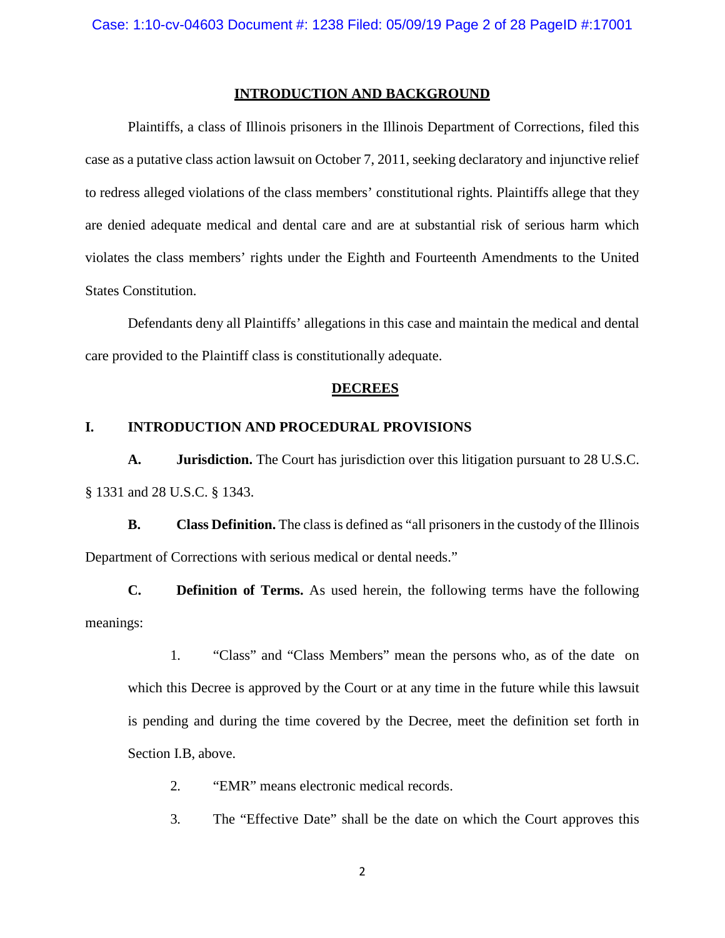## **INTRODUCTION AND BACKGROUND**

Plaintiffs, a class of Illinois prisoners in the Illinois Department of Corrections, filed this case as a putative class action lawsuit on October 7, 2011, seeking declaratory and injunctive relief to redress alleged violations of the class members' constitutional rights. Plaintiffs allege that they are denied adequate medical and dental care and are at substantial risk of serious harm which violates the class members' rights under the Eighth and Fourteenth Amendments to the United States Constitution.

Defendants deny all Plaintiffs' allegations in this case and maintain the medical and dental care provided to the Plaintiff class is constitutionally adequate.

#### **DECREES**

#### **I. INTRODUCTION AND PROCEDURAL PROVISIONS**

**A. Jurisdiction.** The Court has jurisdiction over this litigation pursuant to 28 U.S.C. § 1331 and 28 U.S.C. § 1343.

**B. Class Definition.** The class is defined as "all prisoners in the custody of the Illinois Department of Corrections with serious medical or dental needs."

**C. Definition of Terms.** As used herein, the following terms have the following meanings:

1. "Class" and "Class Members" mean the persons who, as of the date on which this Decree is approved by the Court or at any time in the future while this lawsuit is pending and during the time covered by the Decree, meet the definition set forth in Section I.B, above.

- 2. "EMR" means electronic medical records.
- 3. The "Effective Date" shall be the date on which the Court approves this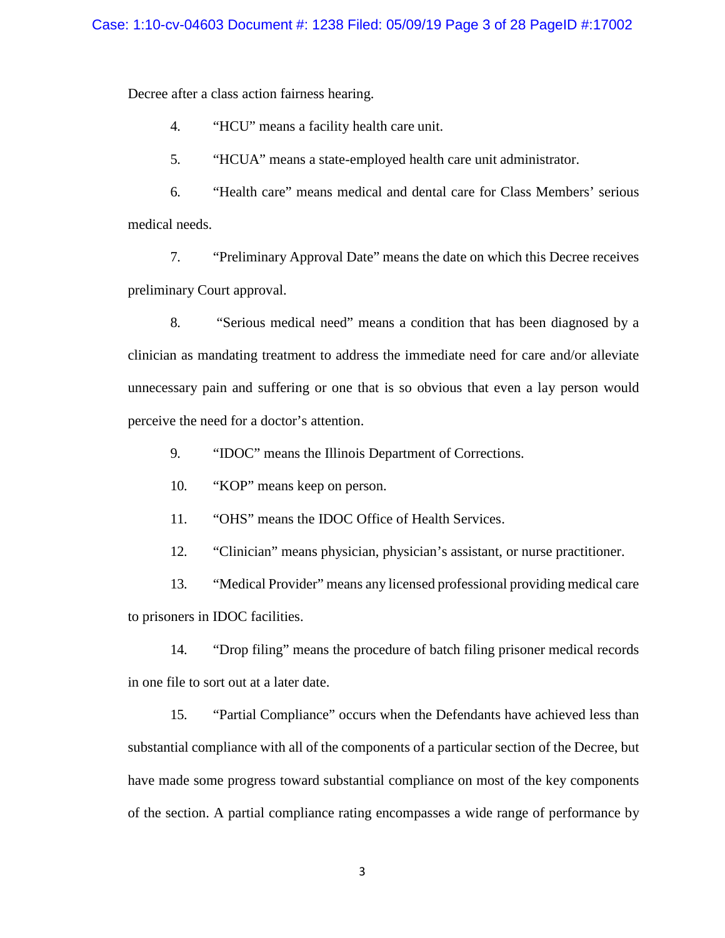Decree after a class action fairness hearing.

4. "HCU" means a facility health care unit.

5. "HCUA" means a state-employed health care unit administrator.

6. "Health care" means medical and dental care for Class Members' serious medical needs.

7. "Preliminary Approval Date" means the date on which this Decree receives preliminary Court approval.

8. "Serious medical need" means a condition that has been diagnosed by a clinician as mandating treatment to address the immediate need for care and/or alleviate unnecessary pain and suffering or one that is so obvious that even a lay person would perceive the need for a doctor's attention.

9. "IDOC" means the Illinois Department of Corrections.

10. "KOP" means keep on person.

11. "OHS" means the IDOC Office of Health Services.

12. "Clinician" means physician, physician's assistant, or nurse practitioner.

13. "Medical Provider" means any licensed professional providing medical care to prisoners in IDOC facilities.

14. "Drop filing" means the procedure of batch filing prisoner medical records in one file to sort out at a later date.

15. "Partial Compliance" occurs when the Defendants have achieved less than substantial compliance with all of the components of a particular section of the Decree, but have made some progress toward substantial compliance on most of the key components of the section. A partial compliance rating encompasses a wide range of performance by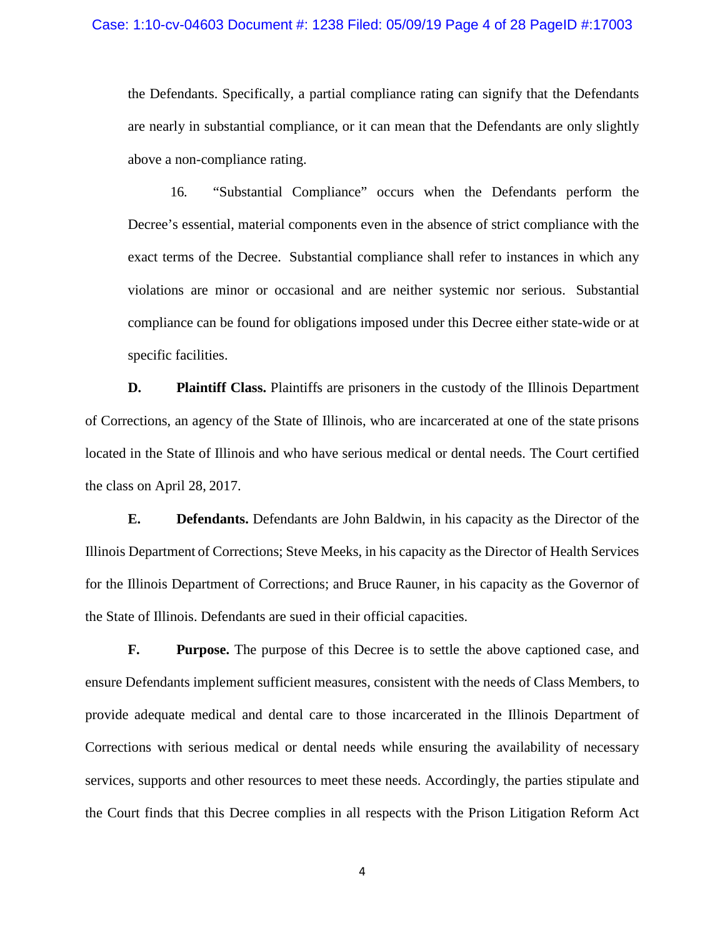the Defendants. Specifically, a partial compliance rating can signify that the Defendants are nearly in substantial compliance, or it can mean that the Defendants are only slightly above a non-compliance rating.

16. "Substantial Compliance" occurs when the Defendants perform the Decree's essential, material components even in the absence of strict compliance with the exact terms of the Decree. Substantial compliance shall refer to instances in which any violations are minor or occasional and are neither systemic nor serious. Substantial compliance can be found for obligations imposed under this Decree either state-wide or at specific facilities.

**D. Plaintiff Class.** Plaintiffs are prisoners in the custody of the Illinois Department of Corrections, an agency of the State of Illinois, who are incarcerated at one of the state prisons located in the State of Illinois and who have serious medical or dental needs. The Court certified the class on April 28, 2017.

**E. Defendants.** Defendants are John Baldwin, in his capacity as the Director of the Illinois Department of Corrections; Steve Meeks, in his capacity as the Director of Health Services for the Illinois Department of Corrections; and Bruce Rauner, in his capacity as the Governor of the State of Illinois. Defendants are sued in their official capacities.

**F. Purpose.** The purpose of this Decree is to settle the above captioned case, and ensure Defendants implement sufficient measures, consistent with the needs of Class Members, to provide adequate medical and dental care to those incarcerated in the Illinois Department of Corrections with serious medical or dental needs while ensuring the availability of necessary services, supports and other resources to meet these needs. Accordingly, the parties stipulate and the Court finds that this Decree complies in all respects with the Prison Litigation Reform Act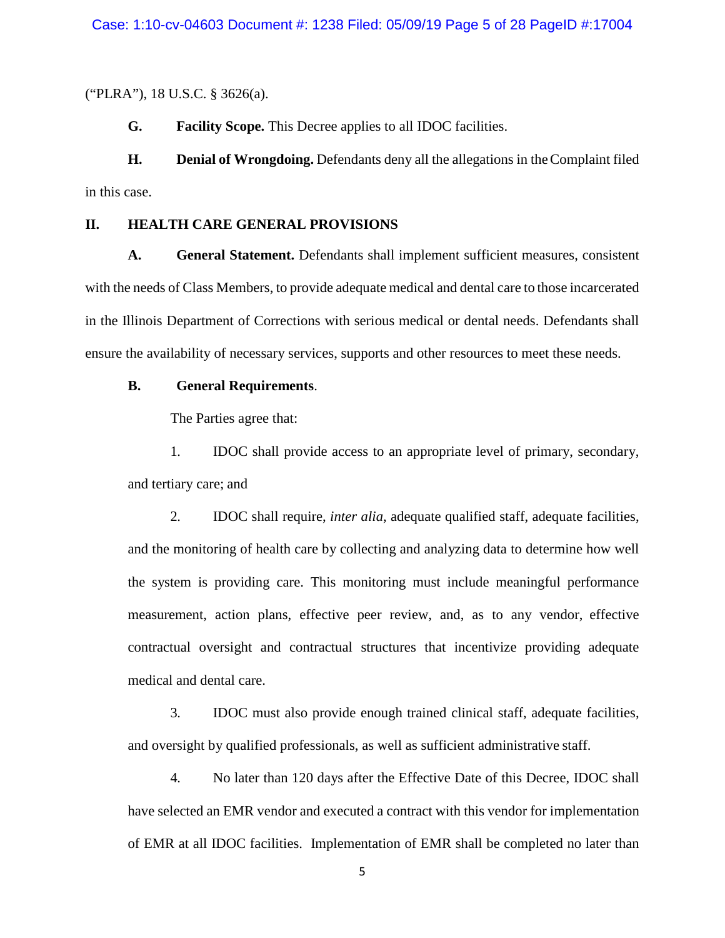("PLRA"), 18 U.S.C. § 3626(a).

**G. Facility Scope.** This Decree applies to all IDOC facilities.

**H. Denial of Wrongdoing.** Defendants deny all the allegations in theComplaint filed in this case.

## **II. HEALTH CARE GENERAL PROVISIONS**

**A. General Statement.** Defendants shall implement sufficient measures, consistent with the needs of Class Members, to provide adequate medical and dental care to those incarcerated in the Illinois Department of Corrections with serious medical or dental needs. Defendants shall ensure the availability of necessary services, supports and other resources to meet these needs.

## **B. General Requirements**.

The Parties agree that:

1. IDOC shall provide access to an appropriate level of primary, secondary, and tertiary care; and

2. IDOC shall require, *inter alia*, adequate qualified staff, adequate facilities, and the monitoring of health care by collecting and analyzing data to determine how well the system is providing care. This monitoring must include meaningful performance measurement, action plans, effective peer review, and, as to any vendor, effective contractual oversight and contractual structures that incentivize providing adequate medical and dental care.

3. IDOC must also provide enough trained clinical staff, adequate facilities, and oversight by qualified professionals, as well as sufficient administrative staff.

4. No later than 120 days after the Effective Date of this Decree, IDOC shall have selected an EMR vendor and executed a contract with this vendor for implementation of EMR at all IDOC facilities. Implementation of EMR shall be completed no later than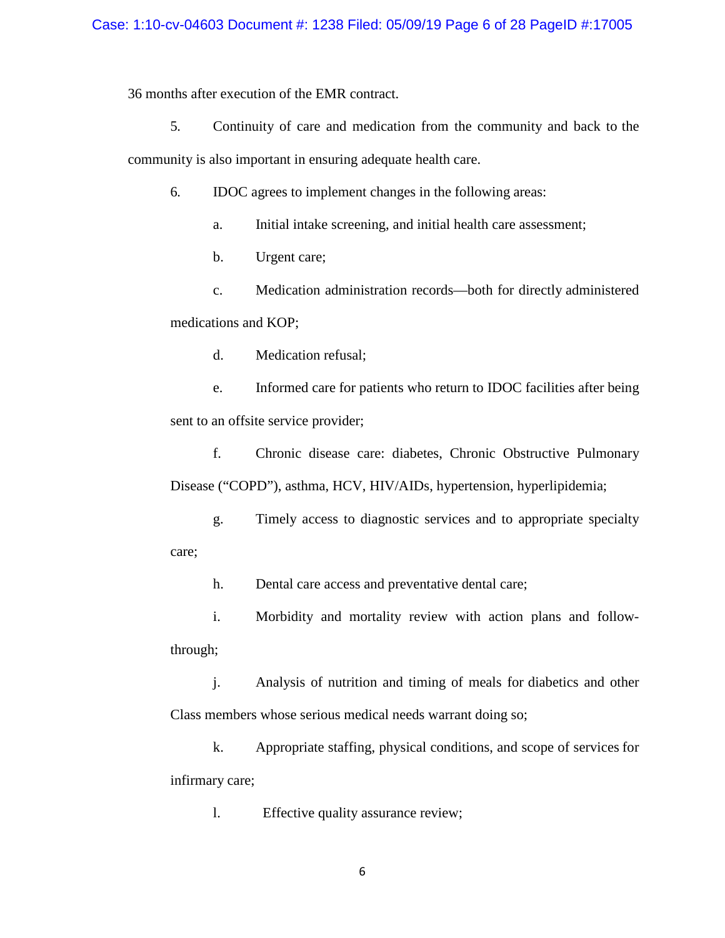36 months after execution of the EMR contract.

5. Continuity of care and medication from the community and back to the

community is also important in ensuring adequate health care.

6. IDOC agrees to implement changes in the following areas:

- a. Initial intake screening, and initial health care assessment;
- b. Urgent care;

c. Medication administration records—both for directly administered medications and KOP;

d. Medication refusal;

e. Informed care for patients who return to IDOC facilities after being sent to an offsite service provider;

f. Chronic disease care: diabetes, Chronic Obstructive Pulmonary Disease ("COPD"), asthma, HCV, HIV/AIDs, hypertension, hyperlipidemia;

g. Timely access to diagnostic services and to appropriate specialty care;

h. Dental care access and preventative dental care;

i. Morbidity and mortality review with action plans and followthrough;

j. Analysis of nutrition and timing of meals for diabetics and other Class members whose serious medical needs warrant doing so;

k. Appropriate staffing, physical conditions, and scope of services for infirmary care;

l. Effective quality assurance review;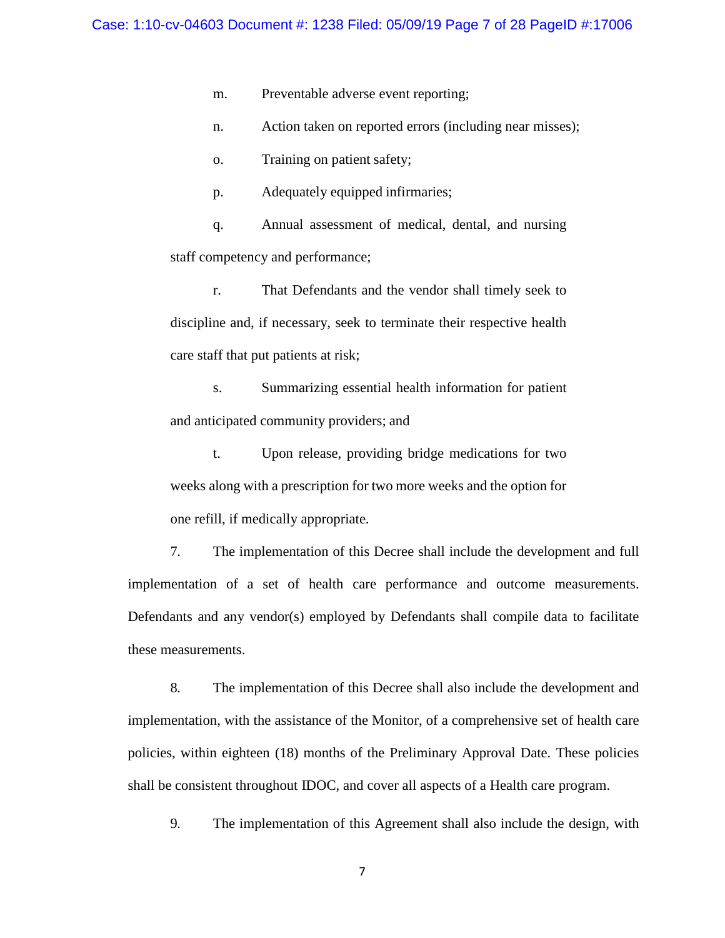m. Preventable adverse event reporting;

n. Action taken on reported errors (including near misses);

o. Training on patient safety;

p. Adequately equipped infirmaries;

q. Annual assessment of medical, dental, and nursing staff competency and performance;

r. That Defendants and the vendor shall timely seek to discipline and, if necessary, seek to terminate their respective health care staff that put patients at risk;

s. Summarizing essential health information for patient and anticipated community providers; and

t. Upon release, providing bridge medications for two weeks along with a prescription for two more weeks and the option for one refill, if medically appropriate.

7. The implementation of this Decree shall include the development and full implementation of a set of health care performance and outcome measurements. Defendants and any vendor(s) employed by Defendants shall compile data to facilitate these measurements.

8. The implementation of this Decree shall also include the development and implementation, with the assistance of the Monitor, of a comprehensive set of health care policies, within eighteen (18) months of the Preliminary Approval Date. These policies shall be consistent throughout IDOC, and cover all aspects of a Health care program.

9. The implementation of this Agreement shall also include the design, with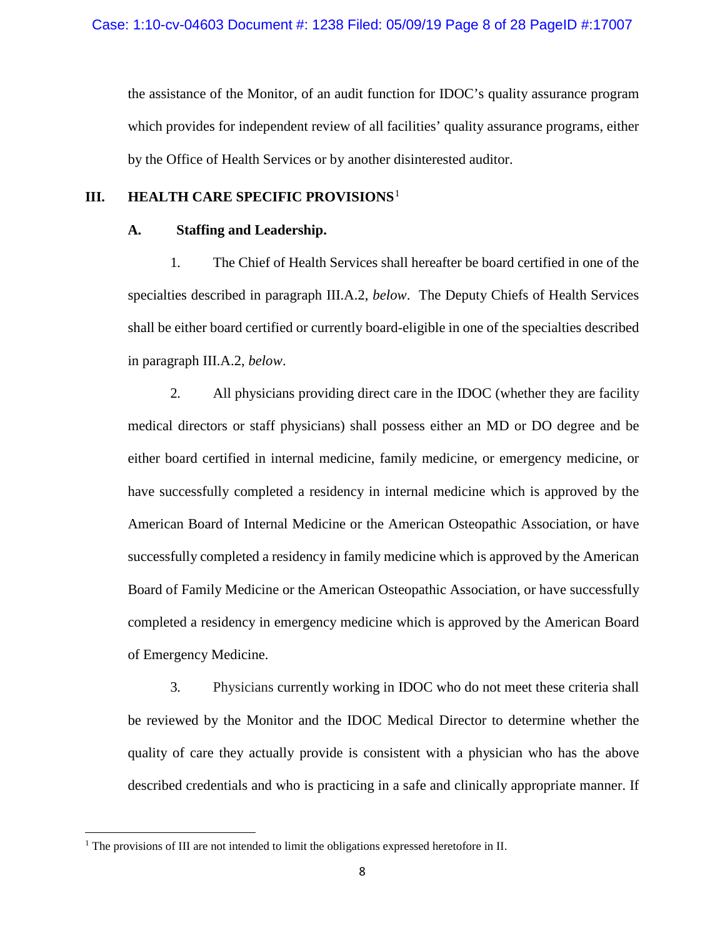the assistance of the Monitor, of an audit function for IDOC's quality assurance program which provides for independent review of all facilities' quality assurance programs, either by the Office of Health Services or by another disinterested auditor.

# **III. HEALTH CARE SPECIFIC PROVISIONS**[1](#page-7-0)

## **A. Staffing and Leadership.**

1. The Chief of Health Services shall hereafter be board certified in one of the specialties described in paragraph III.A.2, *below*. The Deputy Chiefs of Health Services shall be either board certified or currently board-eligible in one of the specialties described in paragraph III.A.2, *below*.

2. All physicians providing direct care in the IDOC (whether they are facility medical directors or staff physicians) shall possess either an MD or DO degree and be either board certified in internal medicine, family medicine, or emergency medicine, or have successfully completed a residency in internal medicine which is approved by the American Board of Internal Medicine or the American Osteopathic Association, or have successfully completed a residency in family medicine which is approved by the American Board of Family Medicine or the American Osteopathic Association, or have successfully completed a residency in emergency medicine which is approved by the American Board of Emergency Medicine.

3. Physicians currently working in IDOC who do not meet these criteria shall be reviewed by the Monitor and the IDOC Medical Director to determine whether the quality of care they actually provide is consistent with a physician who has the above described credentials and who is practicing in a safe and clinically appropriate manner. If

l

<span id="page-7-0"></span><sup>&</sup>lt;sup>1</sup> The provisions of III are not intended to limit the obligations expressed heretofore in II.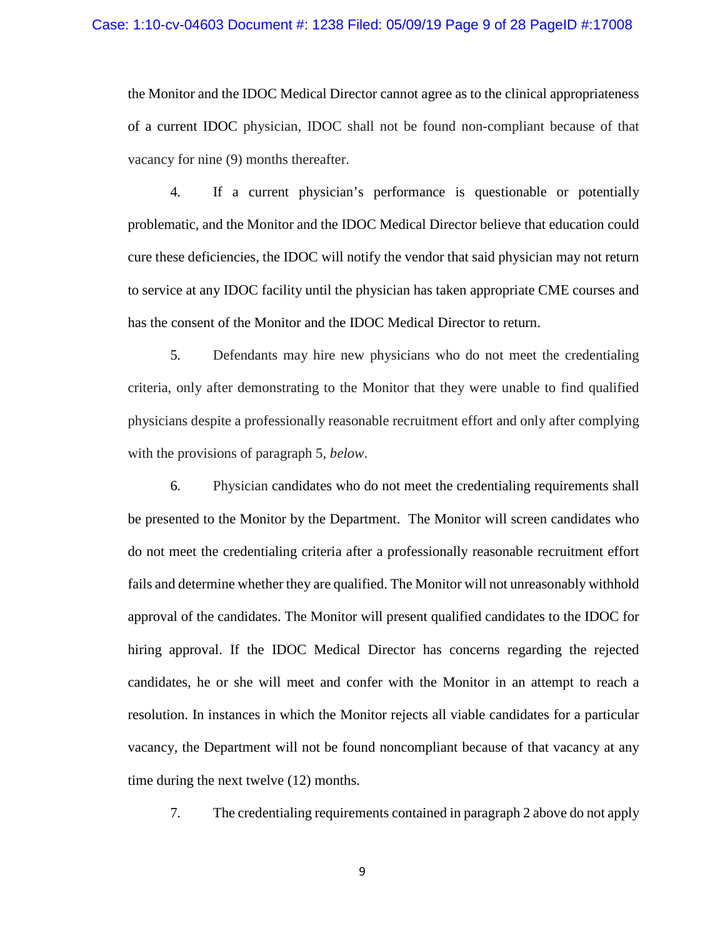the Monitor and the IDOC Medical Director cannot agree as to the clinical appropriateness of a current IDOC physician, IDOC shall not be found non-compliant because of that vacancy for nine (9) months thereafter.

4. If a current physician's performance is questionable or potentially problematic, and the Monitor and the IDOC Medical Director believe that education could cure these deficiencies, the IDOC will notify the vendor that said physician may not return to service at any IDOC facility until the physician has taken appropriate CME courses and has the consent of the Monitor and the IDOC Medical Director to return.

5. Defendants may hire new physicians who do not meet the credentialing criteria, only after demonstrating to the Monitor that they were unable to find qualified physicians despite a professionally reasonable recruitment effort and only after complying with the provisions of paragraph 5, *below*.

6. Physician candidates who do not meet the credentialing requirements shall be presented to the Monitor by the Department. The Monitor will screen candidates who do not meet the credentialing criteria after a professionally reasonable recruitment effort fails and determine whether they are qualified. The Monitor will not unreasonably withhold approval of the candidates. The Monitor will present qualified candidates to the IDOC for hiring approval. If the IDOC Medical Director has concerns regarding the rejected candidates, he or she will meet and confer with the Monitor in an attempt to reach a resolution. In instances in which the Monitor rejects all viable candidates for a particular vacancy, the Department will not be found noncompliant because of that vacancy at any time during the next twelve (12) months.

7. The credentialing requirements contained in paragraph 2 above do not apply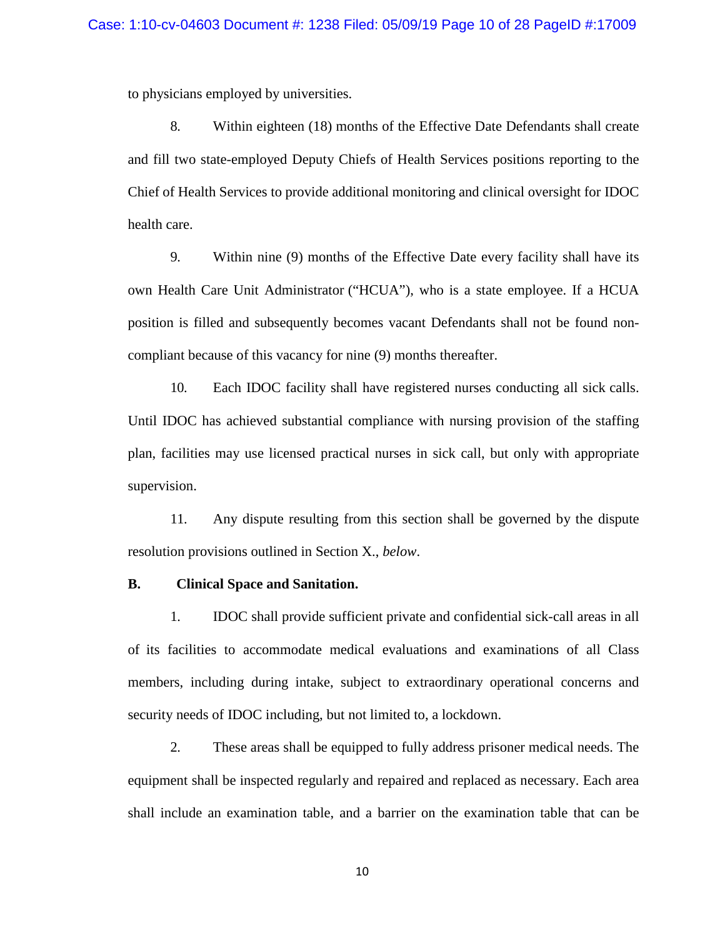to physicians employed by universities.

8. Within eighteen (18) months of the Effective Date Defendants shall create and fill two state-employed Deputy Chiefs of Health Services positions reporting to the Chief of Health Services to provide additional monitoring and clinical oversight for IDOC health care.

9. Within nine (9) months of the Effective Date every facility shall have its own Health Care Unit Administrator ("HCUA"), who is a state employee. If a HCUA position is filled and subsequently becomes vacant Defendants shall not be found noncompliant because of this vacancy for nine (9) months thereafter.

10. Each IDOC facility shall have registered nurses conducting all sick calls. Until IDOC has achieved substantial compliance with nursing provision of the staffing plan, facilities may use licensed practical nurses in sick call, but only with appropriate supervision.

11. Any dispute resulting from this section shall be governed by the dispute resolution provisions outlined in Section X., *below*.

#### **B. Clinical Space and Sanitation.**

1. IDOC shall provide sufficient private and confidential sick-call areas in all of its facilities to accommodate medical evaluations and examinations of all Class members, including during intake, subject to extraordinary operational concerns and security needs of IDOC including, but not limited to, a lockdown.

2. These areas shall be equipped to fully address prisoner medical needs. The equipment shall be inspected regularly and repaired and replaced as necessary. Each area shall include an examination table, and a barrier on the examination table that can be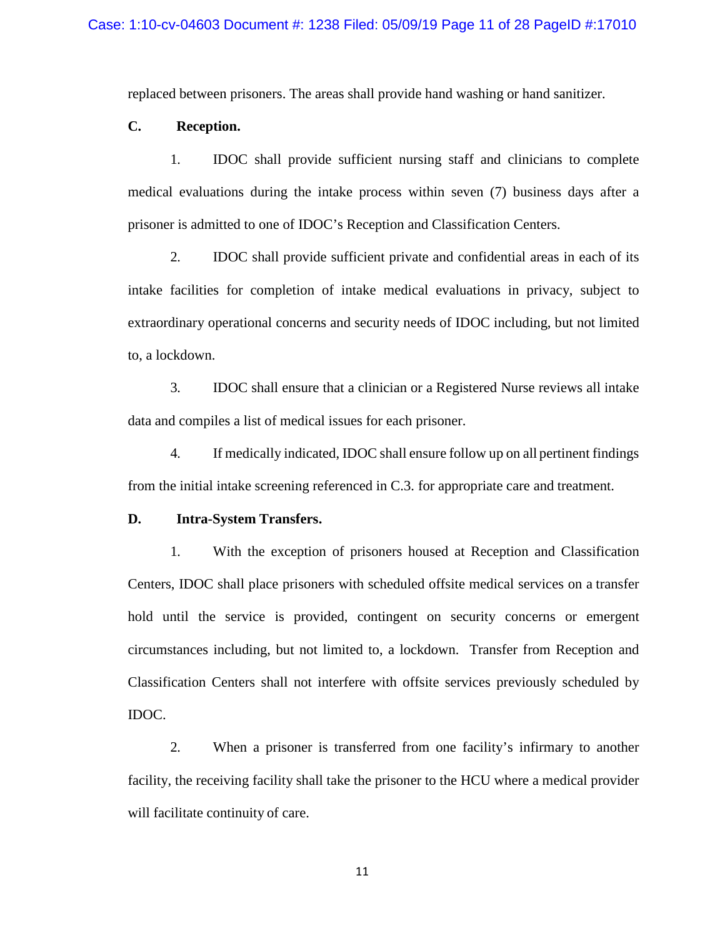replaced between prisoners. The areas shall provide hand washing or hand sanitizer.

## **C. Reception.**

1. IDOC shall provide sufficient nursing staff and clinicians to complete medical evaluations during the intake process within seven (7) business days after a prisoner is admitted to one of IDOC's Reception and Classification Centers.

2. IDOC shall provide sufficient private and confidential areas in each of its intake facilities for completion of intake medical evaluations in privacy, subject to extraordinary operational concerns and security needs of IDOC including, but not limited to, a lockdown.

3. IDOC shall ensure that a clinician or a Registered Nurse reviews all intake data and compiles a list of medical issues for each prisoner.

4. If medically indicated, IDOC shall ensure follow up on all pertinent findings from the initial intake screening referenced in C.3. for appropriate care and treatment.

### **D. Intra-System Transfers.**

1. With the exception of prisoners housed at Reception and Classification Centers, IDOC shall place prisoners with scheduled offsite medical services on a transfer hold until the service is provided, contingent on security concerns or emergent circumstances including, but not limited to, a lockdown. Transfer from Reception and Classification Centers shall not interfere with offsite services previously scheduled by IDOC.

2. When a prisoner is transferred from one facility's infirmary to another facility, the receiving facility shall take the prisoner to the HCU where a medical provider will facilitate continuity of care.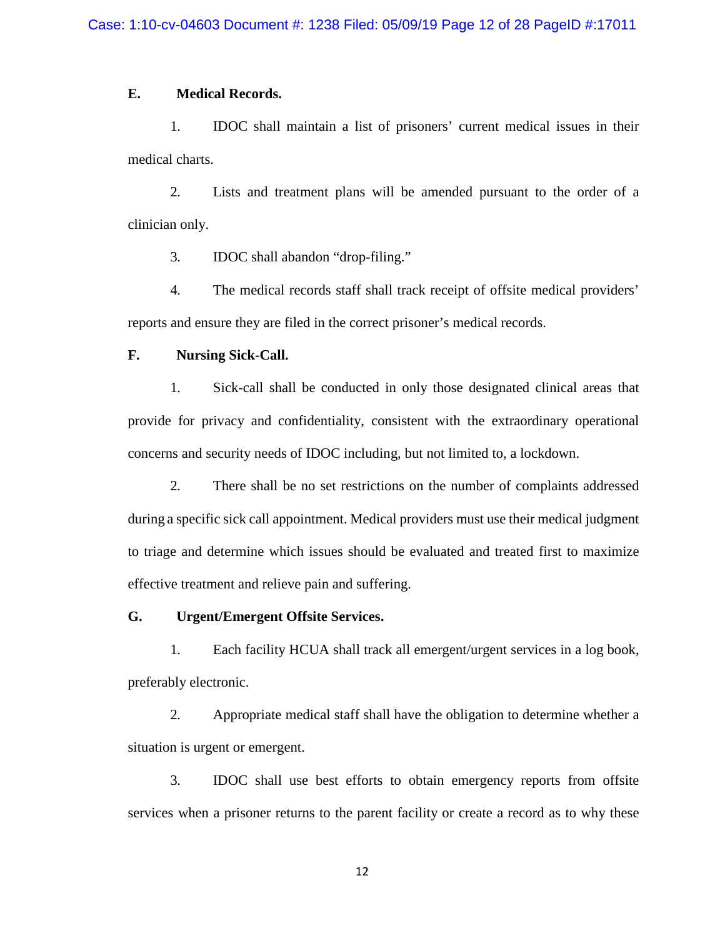## **E. Medical Records.**

1. IDOC shall maintain a list of prisoners' current medical issues in their medical charts.

2. Lists and treatment plans will be amended pursuant to the order of a clinician only.

3. IDOC shall abandon "drop-filing."

4. The medical records staff shall track receipt of offsite medical providers' reports and ensure they are filed in the correct prisoner's medical records.

## **F. Nursing Sick-Call.**

1. Sick-call shall be conducted in only those designated clinical areas that provide for privacy and confidentiality, consistent with the extraordinary operational concerns and security needs of IDOC including, but not limited to, a lockdown.

2. There shall be no set restrictions on the number of complaints addressed during a specific sick call appointment. Medical providers must use their medical judgment to triage and determine which issues should be evaluated and treated first to maximize effective treatment and relieve pain and suffering.

## **G. Urgent/Emergent Offsite Services.**

1. Each facility HCUA shall track all emergent/urgent services in a log book, preferably electronic.

2. Appropriate medical staff shall have the obligation to determine whether a situation is urgent or emergent.

3. IDOC shall use best efforts to obtain emergency reports from offsite services when a prisoner returns to the parent facility or create a record as to why these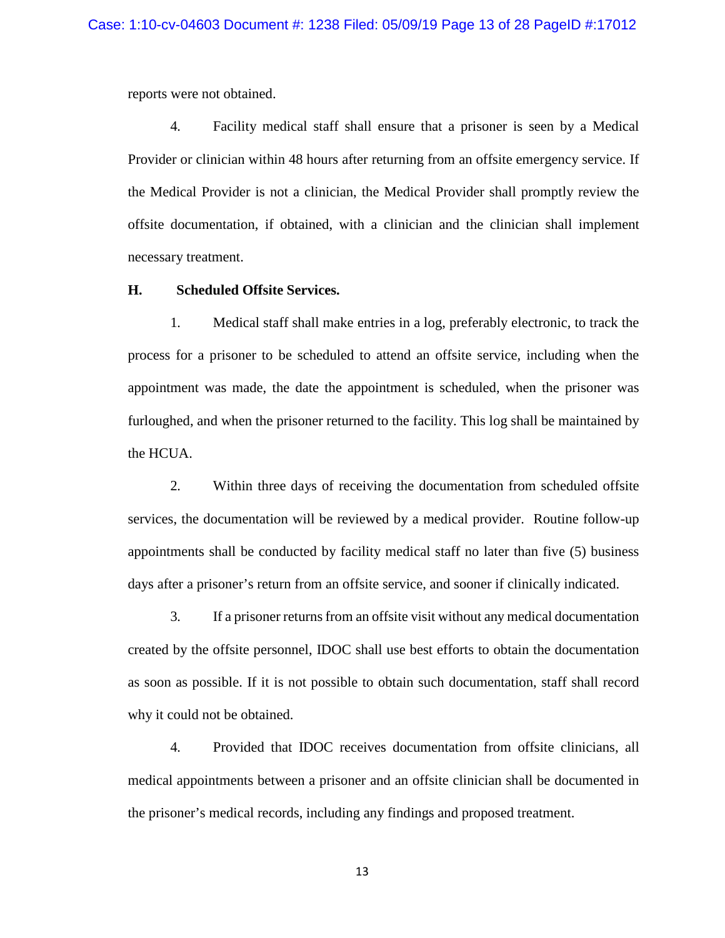reports were not obtained.

4. Facility medical staff shall ensure that a prisoner is seen by a Medical Provider or clinician within 48 hours after returning from an offsite emergency service. If the Medical Provider is not a clinician, the Medical Provider shall promptly review the offsite documentation, if obtained, with a clinician and the clinician shall implement necessary treatment.

## **H. Scheduled Offsite Services.**

1. Medical staff shall make entries in a log, preferably electronic, to track the process for a prisoner to be scheduled to attend an offsite service, including when the appointment was made, the date the appointment is scheduled, when the prisoner was furloughed, and when the prisoner returned to the facility. This log shall be maintained by the HCUA.

2. Within three days of receiving the documentation from scheduled offsite services, the documentation will be reviewed by a medical provider. Routine follow-up appointments shall be conducted by facility medical staff no later than five (5) business days after a prisoner's return from an offsite service, and sooner if clinically indicated.

3. If a prisoner returns from an offsite visit without any medical documentation created by the offsite personnel, IDOC shall use best efforts to obtain the documentation as soon as possible. If it is not possible to obtain such documentation, staff shall record why it could not be obtained.

4. Provided that IDOC receives documentation from offsite clinicians, all medical appointments between a prisoner and an offsite clinician shall be documented in the prisoner's medical records, including any findings and proposed treatment.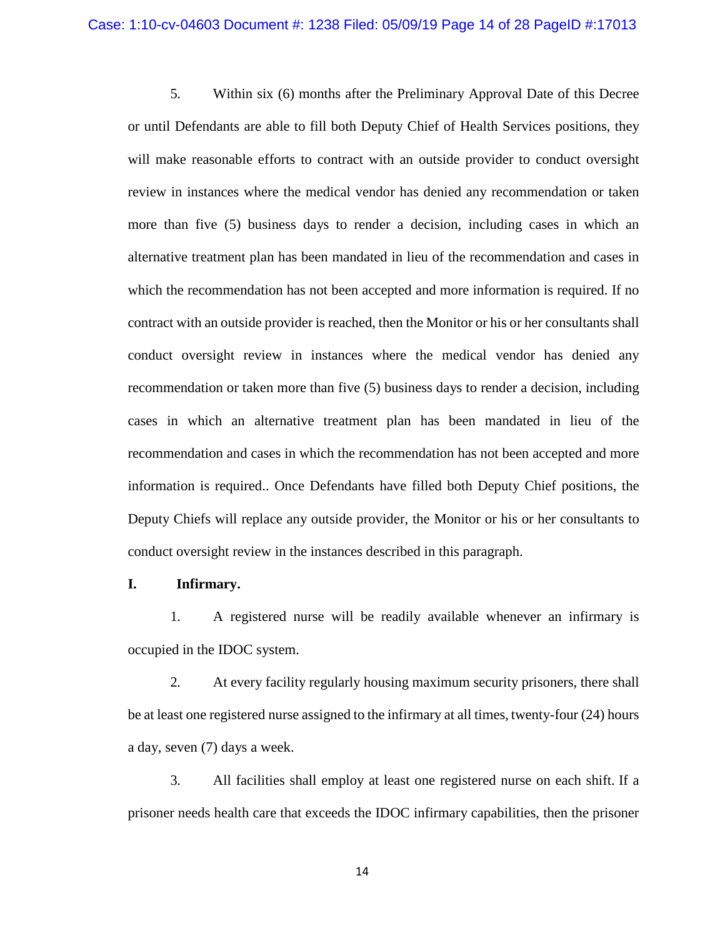5. Within six (6) months after the Preliminary Approval Date of this Decree or until Defendants are able to fill both Deputy Chief of Health Services positions, they will make reasonable efforts to contract with an outside provider to conduct oversight review in instances where the medical vendor has denied any recommendation or taken more than five (5) business days to render a decision, including cases in which an alternative treatment plan has been mandated in lieu of the recommendation and cases in which the recommendation has not been accepted and more information is required. If no contract with an outside provider is reached, then the Monitor or his or her consultants shall conduct oversight review in instances where the medical vendor has denied any recommendation or taken more than five (5) business days to render a decision, including cases in which an alternative treatment plan has been mandated in lieu of the recommendation and cases in which the recommendation has not been accepted and more information is required.. Once Defendants have filled both Deputy Chief positions, the Deputy Chiefs will replace any outside provider, the Monitor or his or her consultants to conduct oversight review in the instances described in this paragraph.

## **I. Infirmary.**

1. A registered nurse will be readily available whenever an infirmary is occupied in the IDOC system.

2. At every facility regularly housing maximum security prisoners, there shall be at least one registered nurse assigned to the infirmary at all times, twenty-four (24) hours a day, seven (7) days a week.

3. All facilities shall employ at least one registered nurse on each shift. If a prisoner needs health care that exceeds the IDOC infirmary capabilities, then the prisoner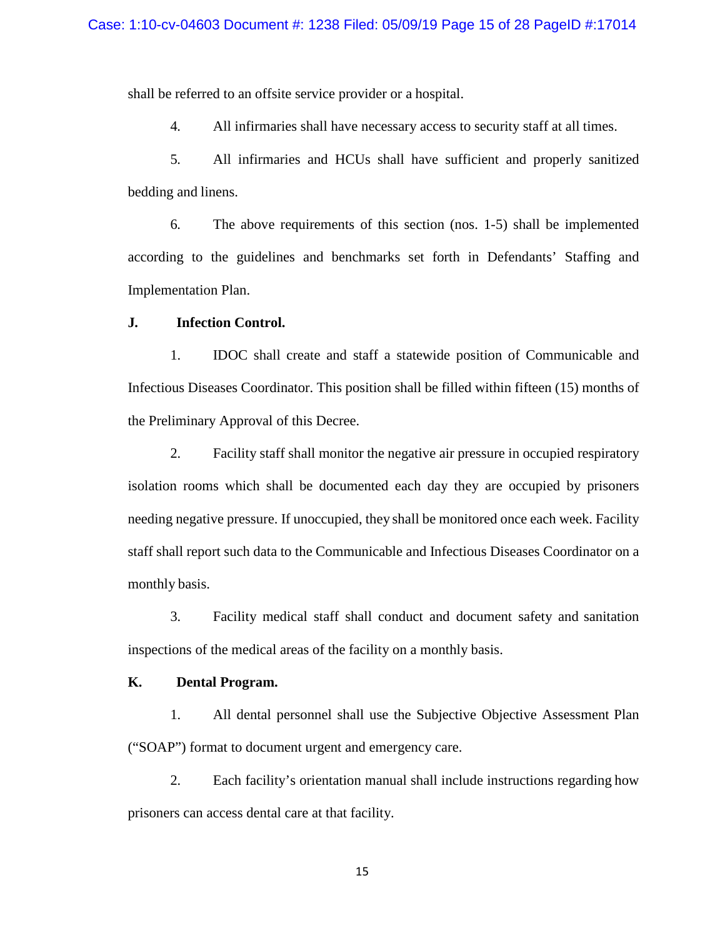shall be referred to an offsite service provider or a hospital.

4. All infirmaries shall have necessary access to security staff at all times.

5. All infirmaries and HCUs shall have sufficient and properly sanitized bedding and linens.

6. The above requirements of this section (nos. 1-5) shall be implemented according to the guidelines and benchmarks set forth in Defendants' Staffing and Implementation Plan.

#### **J. Infection Control.**

1. IDOC shall create and staff a statewide position of Communicable and Infectious Diseases Coordinator. This position shall be filled within fifteen (15) months of the Preliminary Approval of this Decree.

2. Facility staff shall monitor the negative air pressure in occupied respiratory isolation rooms which shall be documented each day they are occupied by prisoners needing negative pressure. If unoccupied, they shall be monitored once each week. Facility staff shall report such data to the Communicable and Infectious Diseases Coordinator on a monthly basis.

3. Facility medical staff shall conduct and document safety and sanitation inspections of the medical areas of the facility on a monthly basis.

## **K. Dental Program.**

1. All dental personnel shall use the Subjective Objective Assessment Plan ("SOAP") format to document urgent and emergency care.

2. Each facility's orientation manual shall include instructions regarding how prisoners can access dental care at that facility.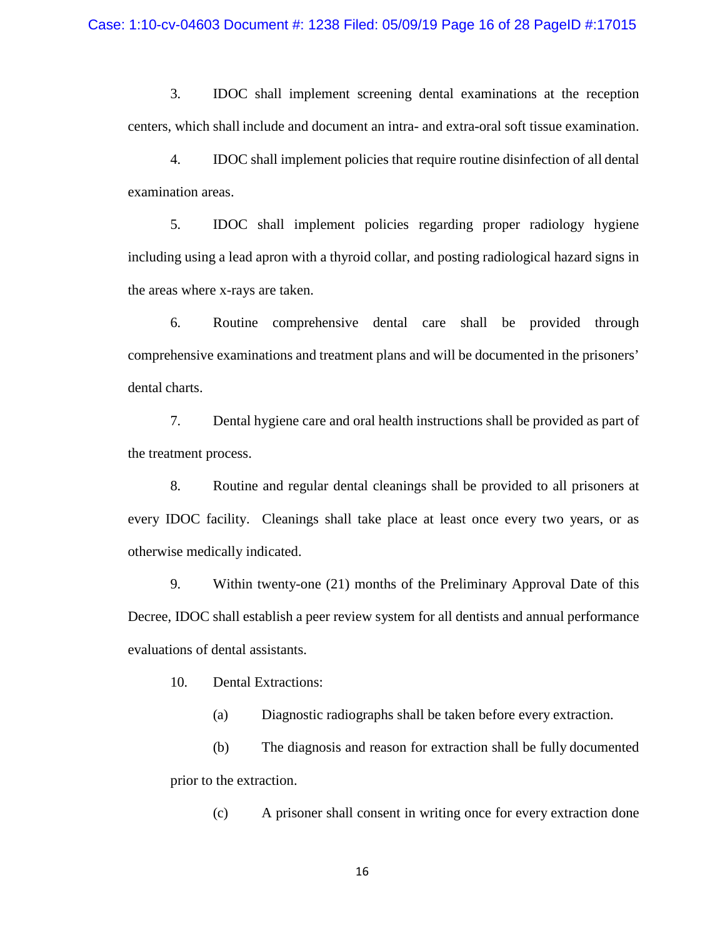3. IDOC shall implement screening dental examinations at the reception centers, which shall include and document an intra- and extra-oral soft tissue examination.

4. IDOC shall implement policies that require routine disinfection of all dental examination areas.

5. IDOC shall implement policies regarding proper radiology hygiene including using a lead apron with a thyroid collar, and posting radiological hazard signs in the areas where x-rays are taken.

6. Routine comprehensive dental care shall be provided through comprehensive examinations and treatment plans and will be documented in the prisoners' dental charts.

7. Dental hygiene care and oral health instructions shall be provided as part of the treatment process.

8. Routine and regular dental cleanings shall be provided to all prisoners at every IDOC facility. Cleanings shall take place at least once every two years, or as otherwise medically indicated.

9. Within twenty-one (21) months of the Preliminary Approval Date of this Decree, IDOC shall establish a peer review system for all dentists and annual performance evaluations of dental assistants.

10. Dental Extractions:

(a) Diagnostic radiographs shall be taken before every extraction.

(b) The diagnosis and reason for extraction shall be fully documented prior to the extraction.

(c) A prisoner shall consent in writing once for every extraction done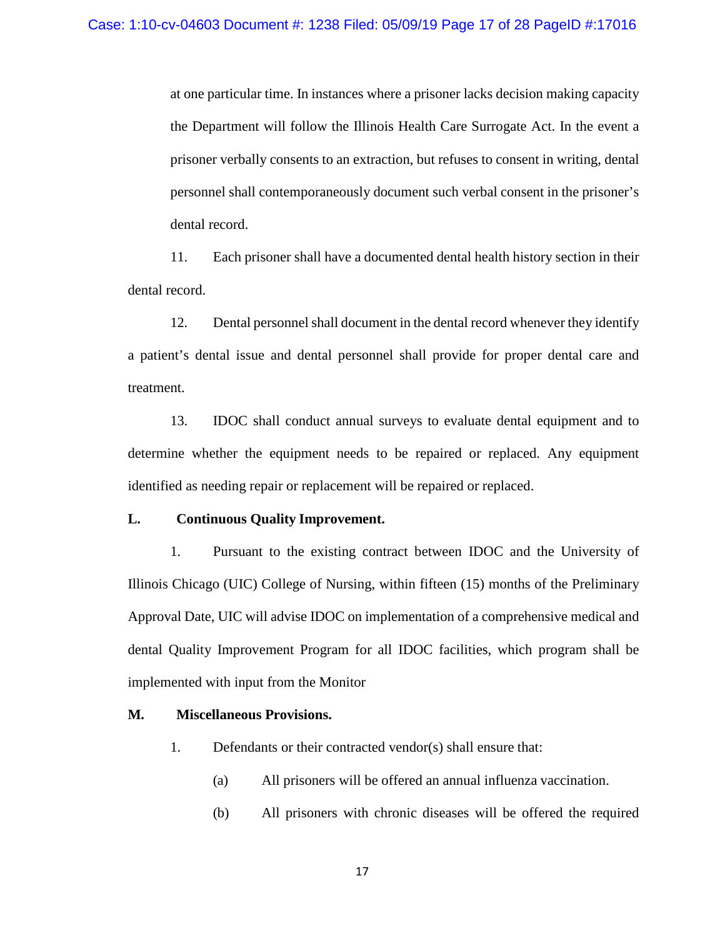at one particular time. In instances where a prisoner lacks decision making capacity the Department will follow the Illinois Health Care Surrogate Act. In the event a prisoner verbally consents to an extraction, but refuses to consent in writing, dental personnel shall contemporaneously document such verbal consent in the prisoner's dental record.

11. Each prisoner shall have a documented dental health history section in their dental record.

12. Dental personnel shall document in the dental record whenever they identify a patient's dental issue and dental personnel shall provide for proper dental care and treatment.

13. IDOC shall conduct annual surveys to evaluate dental equipment and to determine whether the equipment needs to be repaired or replaced. Any equipment identified as needing repair or replacement will be repaired or replaced.

## **L. Continuous Quality Improvement.**

1. Pursuant to the existing contract between IDOC and the University of Illinois Chicago (UIC) College of Nursing, within fifteen (15) months of the Preliminary Approval Date, UIC will advise IDOC on implementation of a comprehensive medical and dental Quality Improvement Program for all IDOC facilities, which program shall be implemented with input from the Monitor

## **M. Miscellaneous Provisions.**

- 1. Defendants or their contracted vendor(s) shall ensure that:
	- (a) All prisoners will be offered an annual influenza vaccination.
	- (b) All prisoners with chronic diseases will be offered the required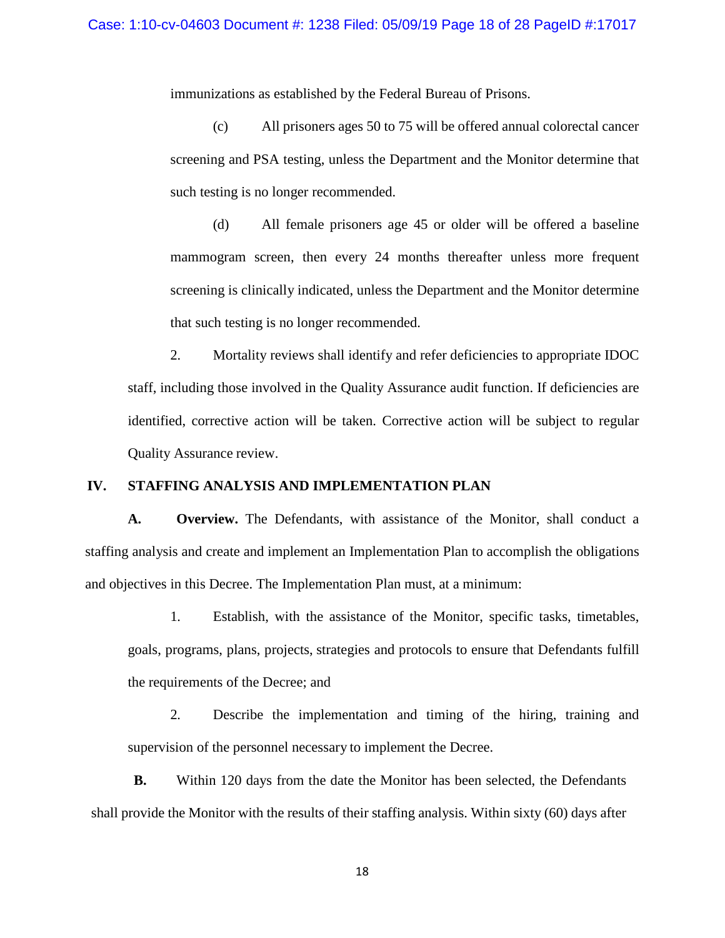immunizations as established by the Federal Bureau of Prisons.

(c) All prisoners ages 50 to 75 will be offered annual colorectal cancer screening and PSA testing, unless the Department and the Monitor determine that such testing is no longer recommended.

(d) All female prisoners age 45 or older will be offered a baseline mammogram screen, then every 24 months thereafter unless more frequent screening is clinically indicated, unless the Department and the Monitor determine that such testing is no longer recommended.

2. Mortality reviews shall identify and refer deficiencies to appropriate IDOC staff, including those involved in the Quality Assurance audit function. If deficiencies are identified, corrective action will be taken. Corrective action will be subject to regular Quality Assurance review.

## **IV. STAFFING ANALYSIS AND IMPLEMENTATION PLAN**

**A. Overview.** The Defendants, with assistance of the Monitor, shall conduct a staffing analysis and create and implement an Implementation Plan to accomplish the obligations and objectives in this Decree. The Implementation Plan must, at a minimum:

1. Establish, with the assistance of the Monitor, specific tasks, timetables, goals, programs, plans, projects, strategies and protocols to ensure that Defendants fulfill the requirements of the Decree; and

2. Describe the implementation and timing of the hiring, training and supervision of the personnel necessary to implement the Decree.

**B.** Within 120 days from the date the Monitor has been selected, the Defendants shall provide the Monitor with the results of their staffing analysis. Within sixty (60) days after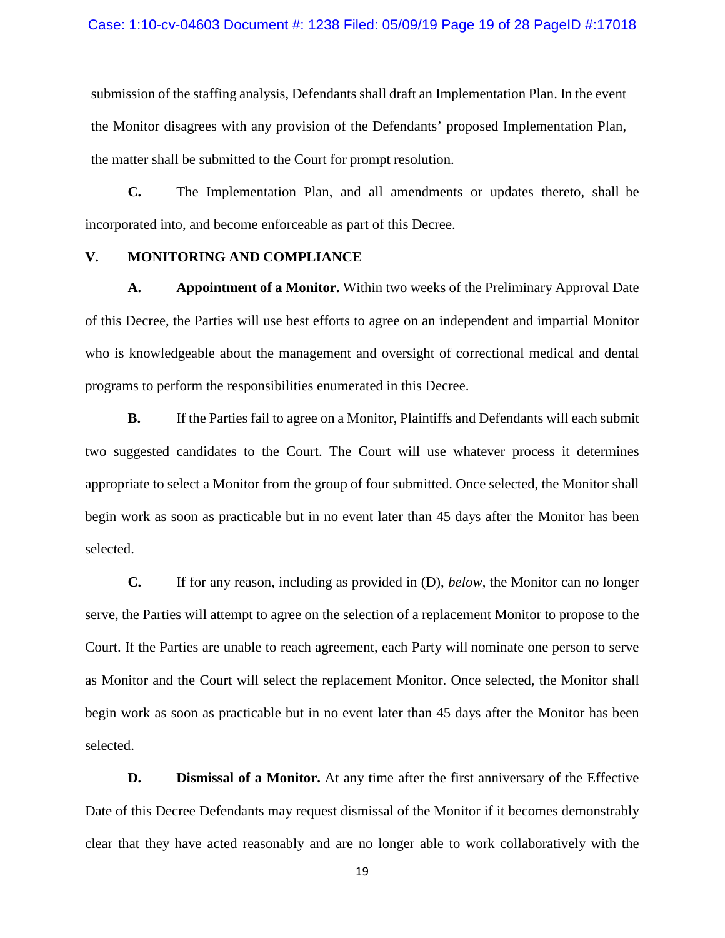submission of the staffing analysis, Defendants shall draft an Implementation Plan. In the event the Monitor disagrees with any provision of the Defendants' proposed Implementation Plan, the matter shall be submitted to the Court for prompt resolution.

**C.** The Implementation Plan, and all amendments or updates thereto, shall be incorporated into, and become enforceable as part of this Decree.

## **V. MONITORING AND COMPLIANCE**

**A. Appointment of a Monitor.** Within two weeks of the Preliminary Approval Date of this Decree, the Parties will use best efforts to agree on an independent and impartial Monitor who is knowledgeable about the management and oversight of correctional medical and dental programs to perform the responsibilities enumerated in this Decree.

**B.** If the Parties fail to agree on a Monitor, Plaintiffs and Defendants will each submit two suggested candidates to the Court. The Court will use whatever process it determines appropriate to select a Monitor from the group of four submitted. Once selected, the Monitor shall begin work as soon as practicable but in no event later than 45 days after the Monitor has been selected.

**C.** If for any reason, including as provided in (D), *below*, the Monitor can no longer serve, the Parties will attempt to agree on the selection of a replacement Monitor to propose to the Court. If the Parties are unable to reach agreement, each Party will nominate one person to serve as Monitor and the Court will select the replacement Monitor. Once selected, the Monitor shall begin work as soon as practicable but in no event later than 45 days after the Monitor has been selected.

**D. Dismissal of a Monitor.** At any time after the first anniversary of the Effective Date of this Decree Defendants may request dismissal of the Monitor if it becomes demonstrably clear that they have acted reasonably and are no longer able to work collaboratively with the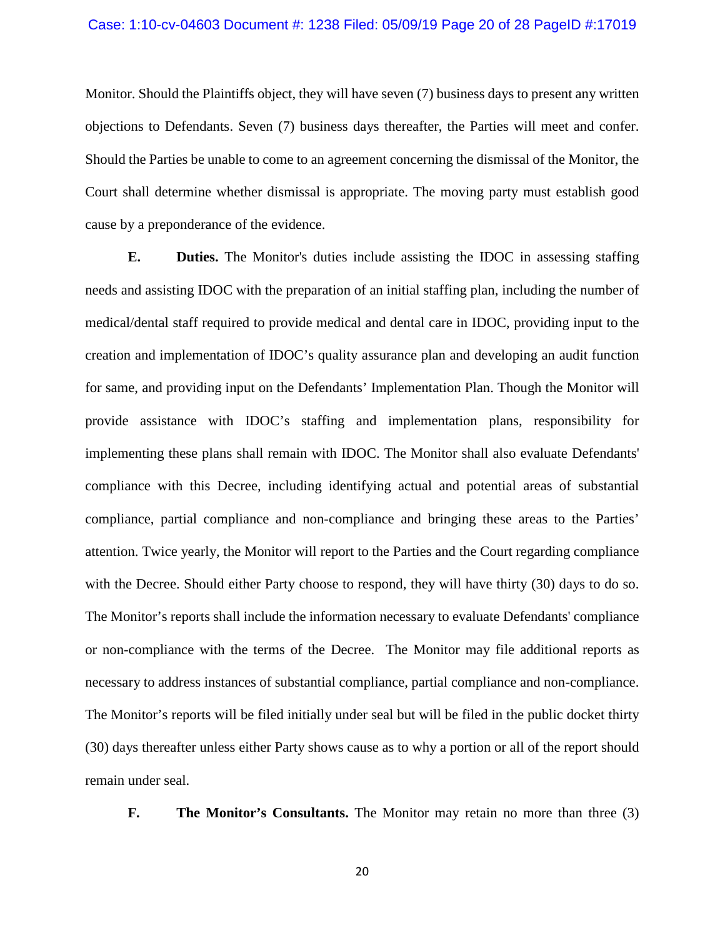#### Case: 1:10-cv-04603 Document #: 1238 Filed: 05/09/19 Page 20 of 28 PageID #:17019

Monitor. Should the Plaintiffs object, they will have seven (7) business days to present any written objections to Defendants. Seven (7) business days thereafter, the Parties will meet and confer. Should the Parties be unable to come to an agreement concerning the dismissal of the Monitor, the Court shall determine whether dismissal is appropriate. The moving party must establish good cause by a preponderance of the evidence.

**E. Duties.** The Monitor's duties include assisting the IDOC in assessing staffing needs and assisting IDOC with the preparation of an initial staffing plan, including the number of medical/dental staff required to provide medical and dental care in IDOC, providing input to the creation and implementation of IDOC's quality assurance plan and developing an audit function for same, and providing input on the Defendants' Implementation Plan. Though the Monitor will provide assistance with IDOC's staffing and implementation plans, responsibility for implementing these plans shall remain with IDOC. The Monitor shall also evaluate Defendants' compliance with this Decree, including identifying actual and potential areas of substantial compliance, partial compliance and non-compliance and bringing these areas to the Parties' attention. Twice yearly, the Monitor will report to the Parties and the Court regarding compliance with the Decree. Should either Party choose to respond, they will have thirty (30) days to do so. The Monitor's reports shall include the information necessary to evaluate Defendants' compliance or non-compliance with the terms of the Decree. The Monitor may file additional reports as necessary to address instances of substantial compliance, partial compliance and non-compliance. The Monitor's reports will be filed initially under seal but will be filed in the public docket thirty (30) days thereafter unless either Party shows cause as to why a portion or all of the report should remain under seal.

**F. The Monitor's Consultants.** The Monitor may retain no more than three (3)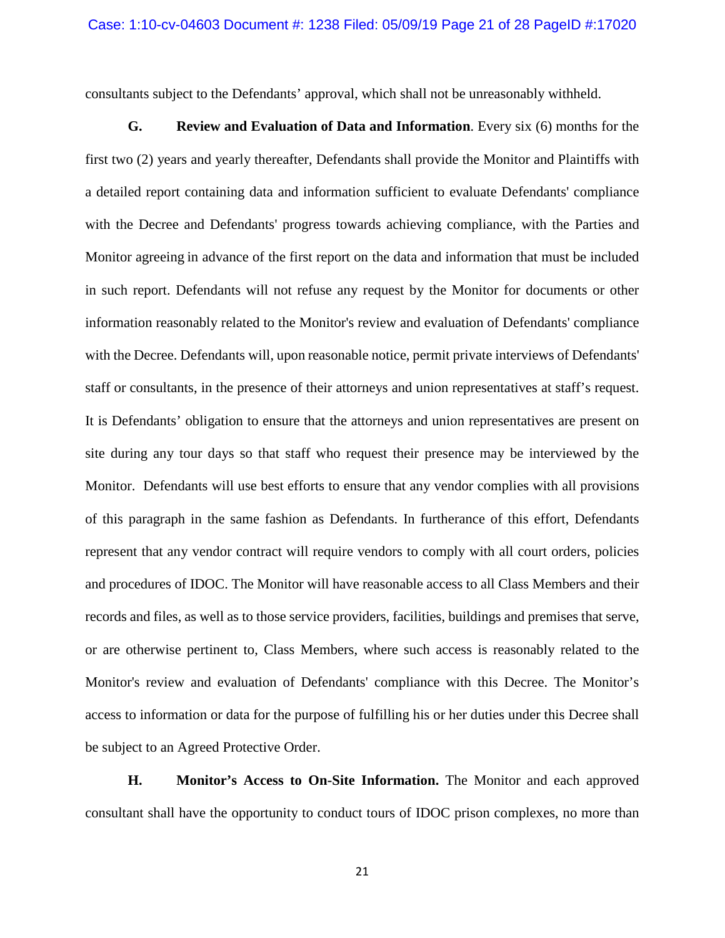consultants subject to the Defendants' approval, which shall not be unreasonably withheld.

**G. Review and Evaluation of Data and Information**. Every six (6) months for the first two (2) years and yearly thereafter, Defendants shall provide the Monitor and Plaintiffs with a detailed report containing data and information sufficient to evaluate Defendants' compliance with the Decree and Defendants' progress towards achieving compliance, with the Parties and Monitor agreeing in advance of the first report on the data and information that must be included in such report. Defendants will not refuse any request by the Monitor for documents or other information reasonably related to the Monitor's review and evaluation of Defendants' compliance with the Decree. Defendants will, upon reasonable notice, permit private interviews of Defendants' staff or consultants, in the presence of their attorneys and union representatives at staff's request. It is Defendants' obligation to ensure that the attorneys and union representatives are present on site during any tour days so that staff who request their presence may be interviewed by the Monitor. Defendants will use best efforts to ensure that any vendor complies with all provisions of this paragraph in the same fashion as Defendants. In furtherance of this effort, Defendants represent that any vendor contract will require vendors to comply with all court orders, policies and procedures of IDOC. The Monitor will have reasonable access to all Class Members and their records and files, as well as to those service providers, facilities, buildings and premises that serve, or are otherwise pertinent to, Class Members, where such access is reasonably related to the Monitor's review and evaluation of Defendants' compliance with this Decree. The Monitor's access to information or data for the purpose of fulfilling his or her duties under this Decree shall be subject to an Agreed Protective Order.

**H. Monitor's Access to On-Site Information.** The Monitor and each approved consultant shall have the opportunity to conduct tours of IDOC prison complexes, no more than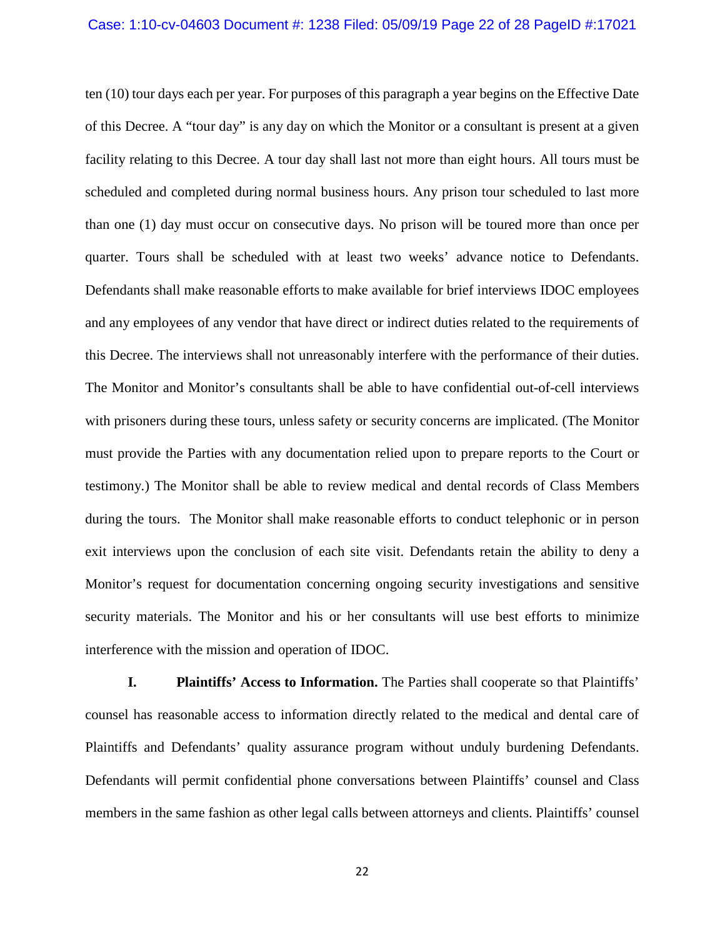#### Case: 1:10-cv-04603 Document #: 1238 Filed: 05/09/19 Page 22 of 28 PageID #:17021

ten (10) tour days each per year. For purposes of this paragraph a year begins on the Effective Date of this Decree. A "tour day" is any day on which the Monitor or a consultant is present at a given facility relating to this Decree. A tour day shall last not more than eight hours. All tours must be scheduled and completed during normal business hours. Any prison tour scheduled to last more than one (1) day must occur on consecutive days. No prison will be toured more than once per quarter. Tours shall be scheduled with at least two weeks' advance notice to Defendants. Defendants shall make reasonable efforts to make available for brief interviews IDOC employees and any employees of any vendor that have direct or indirect duties related to the requirements of this Decree. The interviews shall not unreasonably interfere with the performance of their duties. The Monitor and Monitor's consultants shall be able to have confidential out-of-cell interviews with prisoners during these tours, unless safety or security concerns are implicated. (The Monitor must provide the Parties with any documentation relied upon to prepare reports to the Court or testimony.) The Monitor shall be able to review medical and dental records of Class Members during the tours. The Monitor shall make reasonable efforts to conduct telephonic or in person exit interviews upon the conclusion of each site visit. Defendants retain the ability to deny a Monitor's request for documentation concerning ongoing security investigations and sensitive security materials. The Monitor and his or her consultants will use best efforts to minimize interference with the mission and operation of IDOC.

**I. Plaintiffs' Access to Information.** The Parties shall cooperate so that Plaintiffs' counsel has reasonable access to information directly related to the medical and dental care of Plaintiffs and Defendants' quality assurance program without unduly burdening Defendants. Defendants will permit confidential phone conversations between Plaintiffs' counsel and Class members in the same fashion as other legal calls between attorneys and clients. Plaintiffs' counsel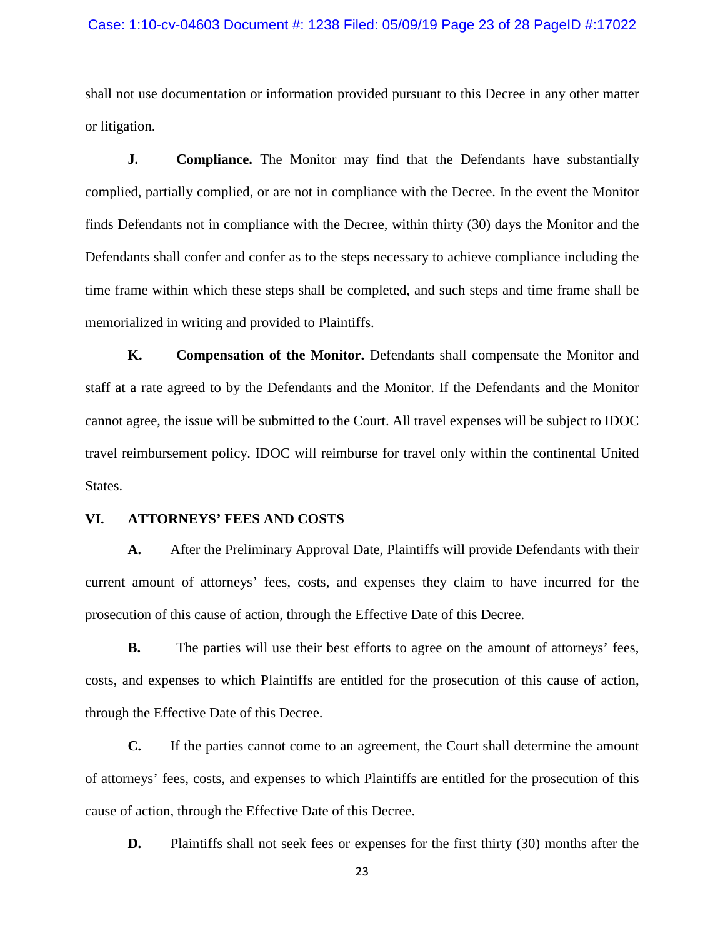#### Case: 1:10-cv-04603 Document #: 1238 Filed: 05/09/19 Page 23 of 28 PageID #:17022

shall not use documentation or information provided pursuant to this Decree in any other matter or litigation.

**J. Compliance.** The Monitor may find that the Defendants have substantially complied, partially complied, or are not in compliance with the Decree. In the event the Monitor finds Defendants not in compliance with the Decree, within thirty (30) days the Monitor and the Defendants shall confer and confer as to the steps necessary to achieve compliance including the time frame within which these steps shall be completed, and such steps and time frame shall be memorialized in writing and provided to Plaintiffs.

**K. Compensation of the Monitor.** Defendants shall compensate the Monitor and staff at a rate agreed to by the Defendants and the Monitor. If the Defendants and the Monitor cannot agree, the issue will be submitted to the Court. All travel expenses will be subject to IDOC travel reimbursement policy. IDOC will reimburse for travel only within the continental United States.

### **VI. ATTORNEYS' FEES AND COSTS**

**A.** After the Preliminary Approval Date, Plaintiffs will provide Defendants with their current amount of attorneys' fees, costs, and expenses they claim to have incurred for the prosecution of this cause of action, through the Effective Date of this Decree.

**B.** The parties will use their best efforts to agree on the amount of attorneys' fees, costs, and expenses to which Plaintiffs are entitled for the prosecution of this cause of action, through the Effective Date of this Decree.

**C.** If the parties cannot come to an agreement, the Court shall determine the amount of attorneys' fees, costs, and expenses to which Plaintiffs are entitled for the prosecution of this cause of action, through the Effective Date of this Decree.

**D.** Plaintiffs shall not seek fees or expenses for the first thirty (30) months after the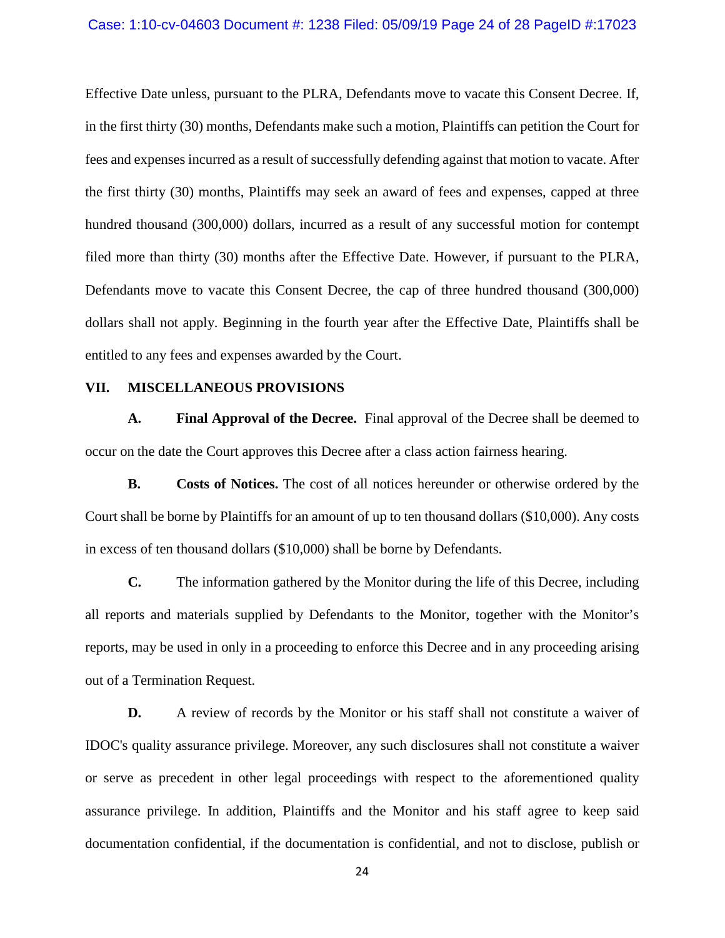## Case: 1:10-cv-04603 Document #: 1238 Filed: 05/09/19 Page 24 of 28 PageID #:17023

Effective Date unless, pursuant to the PLRA, Defendants move to vacate this Consent Decree. If, in the first thirty (30) months, Defendants make such a motion, Plaintiffs can petition the Court for fees and expenses incurred as a result of successfully defending against that motion to vacate. After the first thirty (30) months, Plaintiffs may seek an award of fees and expenses, capped at three hundred thousand (300,000) dollars, incurred as a result of any successful motion for contempt filed more than thirty (30) months after the Effective Date. However, if pursuant to the PLRA, Defendants move to vacate this Consent Decree, the cap of three hundred thousand (300,000) dollars shall not apply. Beginning in the fourth year after the Effective Date, Plaintiffs shall be entitled to any fees and expenses awarded by the Court.

### **VII. MISCELLANEOUS PROVISIONS**

**A. Final Approval of the Decree.** Final approval of the Decree shall be deemed to occur on the date the Court approves this Decree after a class action fairness hearing.

**B. Costs of Notices.** The cost of all notices hereunder or otherwise ordered by the Court shall be borne by Plaintiffs for an amount of up to ten thousand dollars (\$10,000). Any costs in excess of ten thousand dollars (\$10,000) shall be borne by Defendants.

**C.** The information gathered by the Monitor during the life of this Decree, including all reports and materials supplied by Defendants to the Monitor, together with the Monitor's reports, may be used in only in a proceeding to enforce this Decree and in any proceeding arising out of a Termination Request.

**D.** A review of records by the Monitor or his staff shall not constitute a waiver of IDOC's quality assurance privilege. Moreover, any such disclosures shall not constitute a waiver or serve as precedent in other legal proceedings with respect to the aforementioned quality assurance privilege. In addition, Plaintiffs and the Monitor and his staff agree to keep said documentation confidential, if the documentation is confidential, and not to disclose, publish or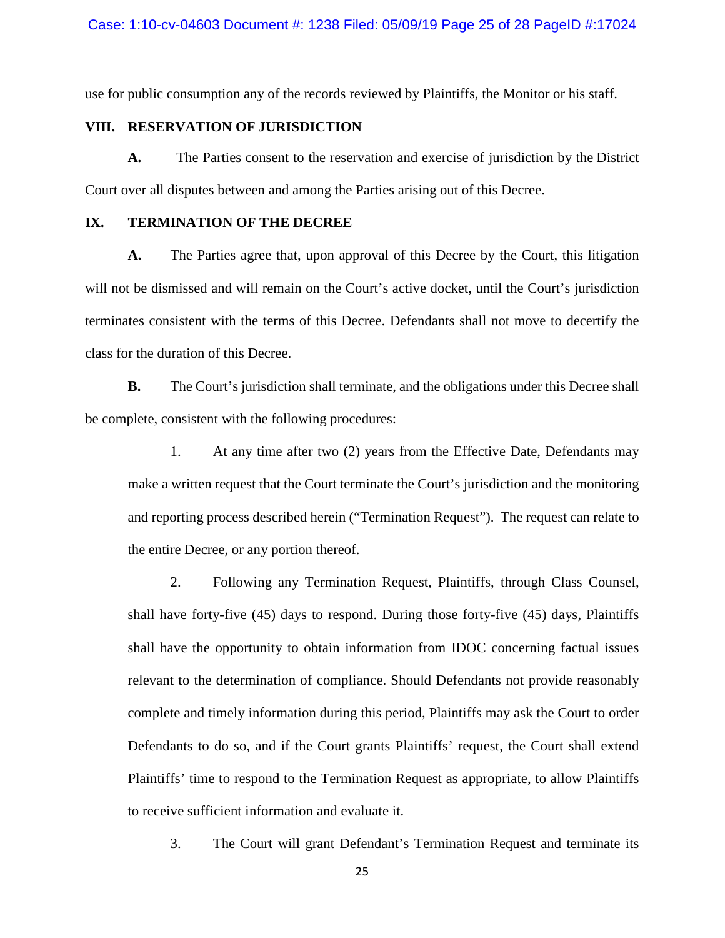use for public consumption any of the records reviewed by Plaintiffs, the Monitor or his staff.

## **VIII. RESERVATION OF JURISDICTION**

**A.** The Parties consent to the reservation and exercise of jurisdiction by the District Court over all disputes between and among the Parties arising out of this Decree.

## **IX. TERMINATION OF THE DECREE**

**A.** The Parties agree that, upon approval of this Decree by the Court, this litigation will not be dismissed and will remain on the Court's active docket, until the Court's jurisdiction terminates consistent with the terms of this Decree. Defendants shall not move to decertify the class for the duration of this Decree.

**B.** The Court's jurisdiction shall terminate, and the obligations under this Decree shall be complete, consistent with the following procedures:

1. At any time after two (2) years from the Effective Date, Defendants may make a written request that the Court terminate the Court's jurisdiction and the monitoring and reporting process described herein ("Termination Request"). The request can relate to the entire Decree, or any portion thereof.

2. Following any Termination Request, Plaintiffs, through Class Counsel, shall have forty-five (45) days to respond. During those forty-five (45) days, Plaintiffs shall have the opportunity to obtain information from IDOC concerning factual issues relevant to the determination of compliance. Should Defendants not provide reasonably complete and timely information during this period, Plaintiffs may ask the Court to order Defendants to do so, and if the Court grants Plaintiffs' request, the Court shall extend Plaintiffs' time to respond to the Termination Request as appropriate, to allow Plaintiffs to receive sufficient information and evaluate it.

3. The Court will grant Defendant's Termination Request and terminate its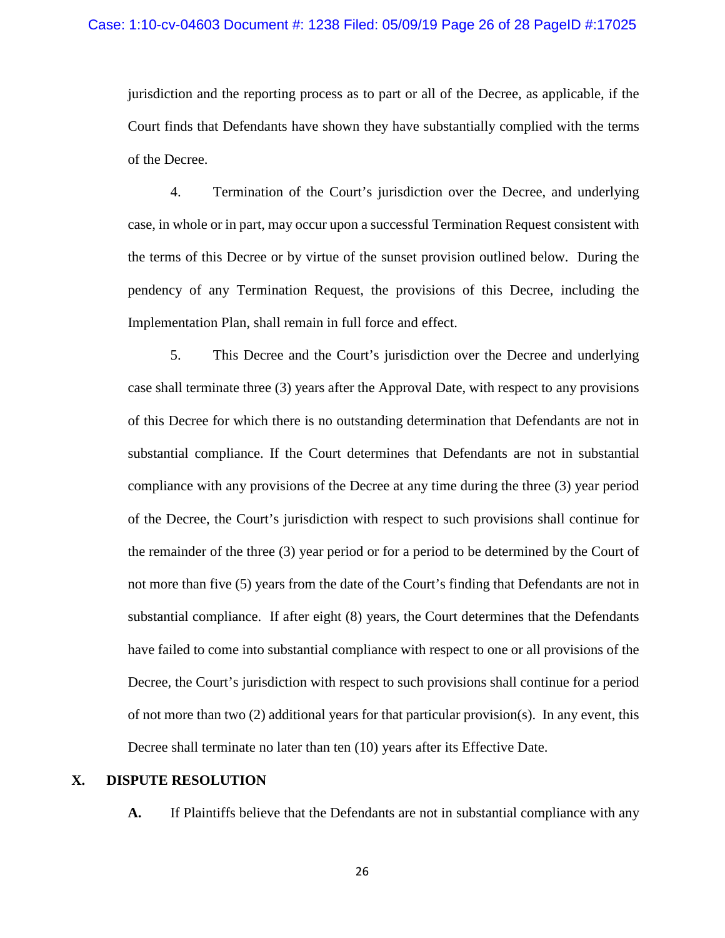jurisdiction and the reporting process as to part or all of the Decree, as applicable, if the Court finds that Defendants have shown they have substantially complied with the terms of the Decree.

4. Termination of the Court's jurisdiction over the Decree, and underlying case, in whole or in part, may occur upon a successful Termination Request consistent with the terms of this Decree or by virtue of the sunset provision outlined below. During the pendency of any Termination Request, the provisions of this Decree, including the Implementation Plan, shall remain in full force and effect.

5. This Decree and the Court's jurisdiction over the Decree and underlying case shall terminate three (3) years after the Approval Date, with respect to any provisions of this Decree for which there is no outstanding determination that Defendants are not in substantial compliance. If the Court determines that Defendants are not in substantial compliance with any provisions of the Decree at any time during the three (3) year period of the Decree, the Court's jurisdiction with respect to such provisions shall continue for the remainder of the three (3) year period or for a period to be determined by the Court of not more than five (5) years from the date of the Court's finding that Defendants are not in substantial compliance. If after eight (8) years, the Court determines that the Defendants have failed to come into substantial compliance with respect to one or all provisions of the Decree, the Court's jurisdiction with respect to such provisions shall continue for a period of not more than two (2) additional years for that particular provision(s). In any event, this Decree shall terminate no later than ten (10) years after its Effective Date.

## **X. DISPUTE RESOLUTION**

**A.** If Plaintiffs believe that the Defendants are not in substantial compliance with any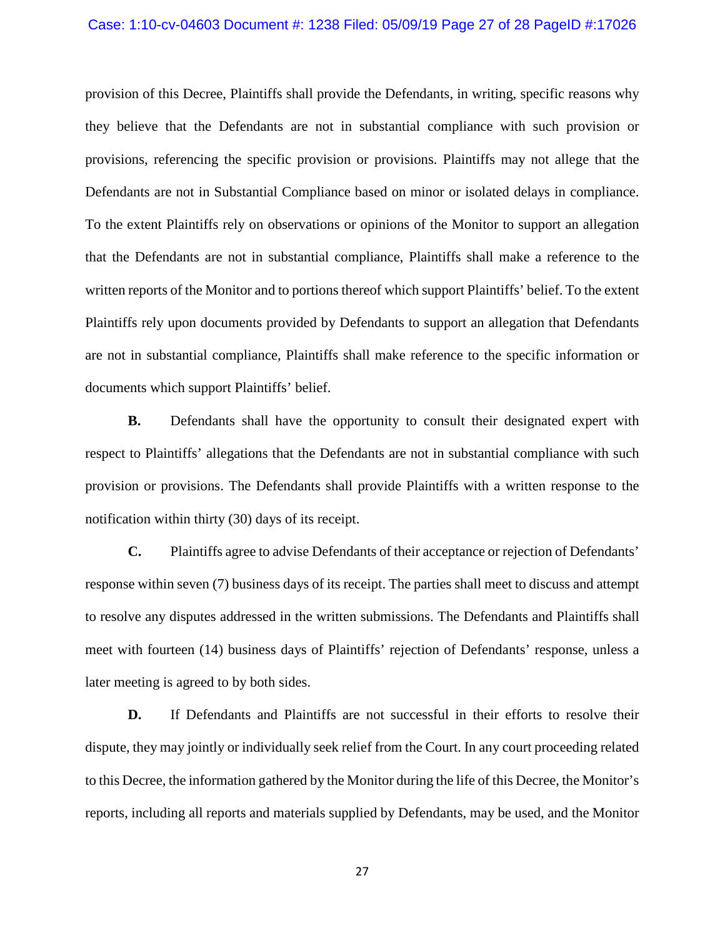#### Case: 1:10-cv-04603 Document #: 1238 Filed: 05/09/19 Page 27 of 28 PageID #:17026

provision of this Decree, Plaintiffs shall provide the Defendants, in writing, specific reasons why they believe that the Defendants are not in substantial compliance with such provision or provisions, referencing the specific provision or provisions. Plaintiffs may not allege that the Defendants are not in Substantial Compliance based on minor or isolated delays in compliance. To the extent Plaintiffs rely on observations or opinions of the Monitor to support an allegation that the Defendants are not in substantial compliance, Plaintiffs shall make a reference to the written reports of the Monitor and to portions thereof which support Plaintiffs' belief. To the extent Plaintiffs rely upon documents provided by Defendants to support an allegation that Defendants are not in substantial compliance, Plaintiffs shall make reference to the specific information or documents which support Plaintiffs' belief.

**B.** Defendants shall have the opportunity to consult their designated expert with respect to Plaintiffs' allegations that the Defendants are not in substantial compliance with such provision or provisions. The Defendants shall provide Plaintiffs with a written response to the notification within thirty (30) days of its receipt.

**C.** Plaintiffs agree to advise Defendants of their acceptance or rejection of Defendants' response within seven (7) business days of its receipt. The parties shall meet to discuss and attempt to resolve any disputes addressed in the written submissions. The Defendants and Plaintiffs shall meet with fourteen (14) business days of Plaintiffs' rejection of Defendants' response, unless a later meeting is agreed to by both sides.

**D.** If Defendants and Plaintiffs are not successful in their efforts to resolve their dispute, they may jointly or individually seek relief from the Court. In any court proceeding related to this Decree, the information gathered by the Monitor during the life of this Decree, the Monitor's reports, including all reports and materials supplied by Defendants, may be used, and the Monitor